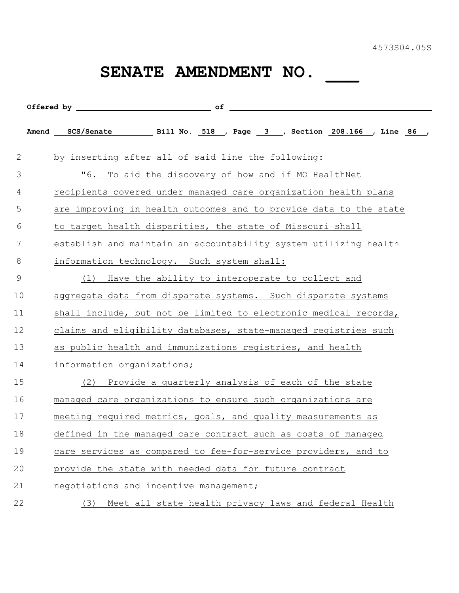## SENATE AMENDMENT NO.

|              | Offered by the contract of                                        |
|--------------|-------------------------------------------------------------------|
|              | Amend SCS/Senate 5111 No. 518, Page 3, Section 208.166, Line 86,  |
| $\mathbf{2}$ | by inserting after all of said line the following:                |
| 3            | "6.<br>To aid the discovery of how and if MO HealthNet            |
| 4            | recipients covered under managed care organization health plans   |
| 5            | are improving in health outcomes and to provide data to the state |
| 6            | to target health disparities, the state of Missouri shall         |
| 7            | establish and maintain an accountability system utilizing health  |
| 8            | information technology. Such system shall:                        |
| 9            | Have the ability to interoperate to collect and<br>(1)            |
| 10           | aggregate data from disparate systems. Such disparate systems     |
| 11           | shall include, but not be limited to electronic medical records,  |
| 12           | claims and eligibility databases, state-managed registries such   |
| 13           | as public health and immunizations registries, and health         |
| 14           | information organizations;                                        |
| 15           | Provide a quarterly analysis of each of the state<br>(2)          |
| 16           | managed care organizations to ensure such organizations are       |
| 17           | meeting required metrics, goals, and quality measurements as      |
| 18           | defined in the managed care contract such as costs of managed     |
| 19           | care services as compared to fee-for-service providers, and to    |
| 20           | provide the state with needed data for future contract            |
| 21           | negotiations and incentive management;                            |
| 22           | Meet all state health privacy laws and federal Health<br>(3)      |
|              |                                                                   |